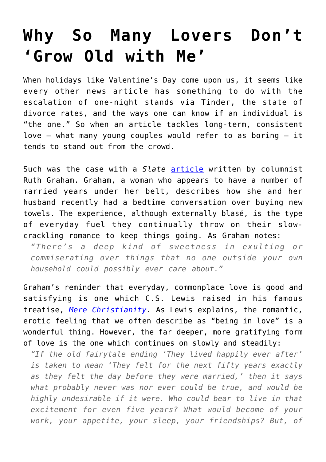## **[Why So Many Lovers Don't](https://intellectualtakeout.org/2018/02/why-so-many-lovers-dont-grow-old-with-me/) ['Grow Old with Me'](https://intellectualtakeout.org/2018/02/why-so-many-lovers-dont-grow-old-with-me/)**

When holidays like Valentine's Day come upon us, it seems like every other news article has something to do with the escalation of one-night stands via Tinder, the state of divorce rates, and the ways one can know if an individual is "the one." So when an article tackles long-term, consistent love – what many young couples would refer to as boring – it tends to stand out from the crowd.

Such was the case with a *Slate* [article](https://slate.com/human-interest/2018/02/on-the-incomparable-romance-of-talking-about-trash-can-and-towels-with-your-significant-other.html) written by columnist Ruth Graham. Graham, a woman who appears to have a number of married years under her belt, describes how she and her husband recently had a bedtime conversation over buying new towels. The experience, although externally blasé, is the type of everyday fuel they continually throw on their slowcrackling romance to keep things going. As Graham notes:

*"There's a deep kind of sweetness in exulting or commiserating over things that no one outside your own household could possibly ever care about."*

Graham's reminder that everyday, commonplace love is good and satisfying is one which C.S. Lewis raised in his famous treatise, *[Mere Christianity.](https://www.amazon.com/gp/product/0060652926/ref=as_li_qf_asin_il_tl?ie=UTF8&tag=intelltakeo0d-20&creative=9325&linkCode=as2&creativeASIN=0060652926&linkId=861d15ed314dbfb44cf1caf234eadaa0)* As Lewis explains, the romantic, erotic feeling that we often describe as "being in love" is a wonderful thing. However, the far deeper, more gratifying form of love is the one which continues on slowly and steadily:

*"If the old fairytale ending 'They lived happily ever after' is taken to mean 'They felt for the next fifty years exactly as they felt the day before they were married,' then it says what probably never was nor ever could be true, and would be highly undesirable if it were. Who could bear to live in that excitement for even five years? What would become of your work, your appetite, your sleep, your friendships? But, of*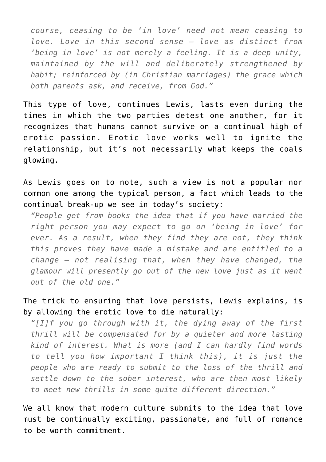*course, ceasing to be 'in love' need not mean ceasing to love. Love in this second sense — love as distinct from 'being in love' is not merely a feeling. It is a deep unity, maintained by the will and deliberately strengthened by habit; reinforced by (in Christian marriages) the grace which both parents ask, and receive, from God."*

This type of love, continues Lewis, lasts even during the times in which the two parties detest one another, for it recognizes that humans cannot survive on a continual high of erotic passion. Erotic love works well to ignite the relationship, but it's not necessarily what keeps the coals glowing.

As Lewis goes on to note, such a view is not a popular nor common one among the typical person, a fact which leads to the continual break-up we see in today's society:

*"People get from books the idea that if you have married the right person you may expect to go on 'being in love' for ever. As a result, when they find they are not, they think this proves they have made a mistake and are entitled to a change — not realising that, when they have changed, the glamour will presently go out of the new love just as it went out of the old one."*

## The trick to ensuring that love persists, Lewis explains, is by allowing the erotic love to die naturally:

*"[I]f you go through with it, the dying away of the first thrill will be compensated for by a quieter and more lasting kind of interest. What is more (and I can hardly find words to tell you how important I think this), it is just the people who are ready to submit to the loss of the thrill and settle down to the sober interest, who are then most likely to meet new thrills in some quite different direction."*

We all know that modern culture submits to the idea that love must be continually exciting, passionate, and full of romance to be worth commitment.